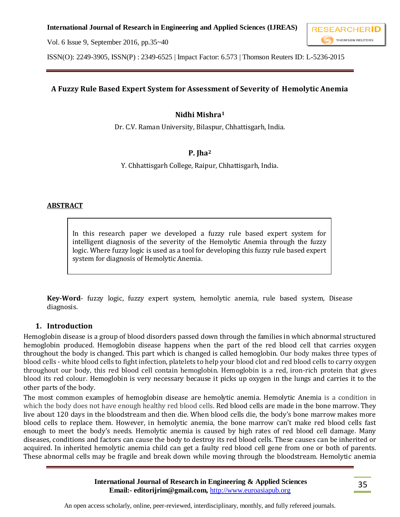



ISSN(O): 2249-3905, ISSN(P) : 2349-6525 | Impact Factor: 6.573 | Thomson Reuters ID: L-5236-2015

## **A Fuzzy Rule Based Expert System for Assessment of Severity of Hemolytic Anemia**

### **Nidhi Mishra<sup>1</sup>**

Dr. C.V. Raman University, Bilaspur, Chhattisgarh, India.

## **P. Jha<sup>2</sup>**

Y. Chhattisgarh College, Raipur, Chhattisgarh, India.

#### **ABSTRACT**

In this research paper we developed a fuzzy rule based expert system for intelligent diagnosis of the severity of the Hemolytic Anemia through the fuzzy logic. Where fuzzy logic is used as a tool for developing this fuzzy rule based expert system for diagnosis of Hemolytic Anemia.

**Key-Word**- fuzzy logic, fuzzy expert system, hemolytic anemia, rule based system, Disease diagnosis.

#### **1. Introduction**

Hemoglobin disease is a group of blood disorders passed down through the families in which abnormal structured hemoglobin produced. Hemoglobin disease happens when the part of the red blood cell that carries oxygen throughout the body is changed. This part which is changed is called hemoglobin. Our body makes three types of blood cells - white blood cells to fight infection, platelets to help your blood clot and red blood cells to carry oxygen throughout our body, this red blood cell contain hemoglobin. Hemoglobin is a red, iron-rich protein that gives blood its red colour. Hemoglobin is very necessary because it picks up oxygen in the lungs and carries it to the other parts of the body.

The most common examples of hemoglobin disease are hemolytic anemia. Hemolytic Anemia is a condition in which the body does not have enough healthy red blood cells. Red blood cells are made in the bone marrow. They live about 120 days in the bloodstream and then die. When blood cells die, the body's bone marrow makes more blood cells to replace them. However, in hemolytic anemia, the bone marrow can't make red blood cells fast enough to meet the body's needs. Hemolytic anemia is caused by high rates of red blood cell damage. Many diseases, conditions and factors can cause the body to destroy its red blood cells. These causes can be inherited or acquired. In inherited hemolytic anemia child can get a faulty red blood cell gene from one or both of parents. These abnormal cells may be fragile and break down while moving through the bloodstream. Hemolytic anemia

> **International Journal of Research in Engineering & Applied Sciences Email:- editorijrim@gmail.com,** http://www.euroasiapub.org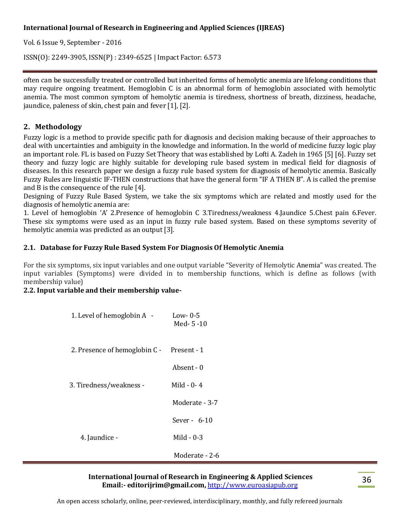Vol. 6 Issue 9, September - 2016

ISSN(O): 2249-3905, ISSN(P) : 2349-6525 | Impact Factor: 6.573

often can be successfully treated or controlled but inherited forms of hemolytic anemia are lifelong conditions that may require ongoing treatment. Hemoglobin C is an abnormal form of hemoglobin associated with hemolytic anemia. The most common symptom of hemolytic anemia is tiredness, shortness of breath, dizziness, headache, jaundice, paleness of skin, chest pain and fever [1], [2].

## **2. Methodology**

Fuzzy logic is a method to provide specific path for diagnosis and decision making because of their approaches to deal with uncertainties and ambiguity in the knowledge and information. In the world of medicine fuzzy logic play an important role. FL is based on Fuzzy Set Theory that was established by Lofti A. Zadeh in 1965 [5] [6]. Fuzzy set theory and fuzzy logic are highly suitable for developing rule based system in medical field for diagnosis of diseases. In this research paper we design a fuzzy rule based system for diagnosis of hemolytic anemia. Basically Fuzzy Rules are linguistic IF-THEN constructions that have the general form "IF A THEN B". A is called the premise and B is the consequence of the rule [4].

Designing of Fuzzy Rule Based System, we take the six symptoms which are related and mostly used for the diagnosis of hemolytic anemia are:

1. Level of hemoglobin 'A' 2.Presence of hemoglobin C 3.Tiredness/weakness 4.Jaundice 5.Chest pain 6.Fever. These six symptoms were used as an input in fuzzy rule based system. Based on these symptoms severity of hemolytic anemia was predicted as an output [3].

## **2.1. Database for Fuzzy Rule Based System For Diagnosis Of Hemolytic Anemia**

For the six symptoms, six input variables and one output variable "Severity of Hemolytic Anemia" was created. The input variables (Symptoms) were divided in to membership functions, which is define as follows (with membership value)

#### **2.2. Input variable and their membership value-**

| 1. Level of hemoglobin A -    | Low- $0-5$<br>Med- $5-10$ |
|-------------------------------|---------------------------|
| 2. Presence of hemoglobin C - | Present - 1               |
|                               | Absent - 0                |
| 3. Tiredness/weakness -       | Mild $-0-4$               |
|                               | Moderate - 3-7            |
|                               | Sever - $6-10$            |
| 4. Jaundice -                 | Mild $-0-3$               |
|                               | Moderate - 2-6            |

#### **International Journal of Research in Engineering & Applied Sciences Email:- editorijrim@gmail.com,** http://www.euroasiapub.org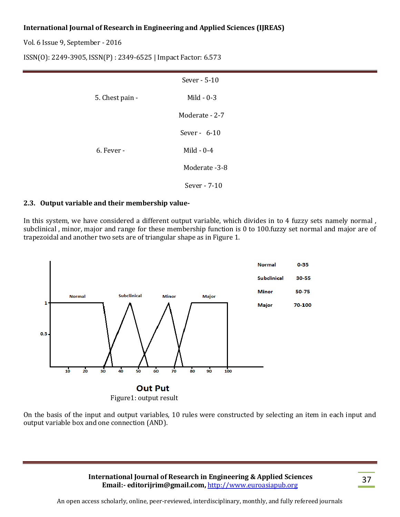Vol. 6 Issue 9, September - 2016

ISSN(O): 2249-3905, ISSN(P) : 2349-6525 | Impact Factor: 6.573

|                 | Sever - 5-10   |
|-----------------|----------------|
| 5. Chest pain - | Mild $-0-3$    |
|                 | Moderate - 2-7 |
|                 | Sever - $6-10$ |
| $6.$ Fever -    | Mild $-0-4$    |
|                 | Moderate -3-8  |
|                 | Sever - 7-10   |

#### **2.3. Output variable and their membership value-**

In this system, we have considered a different output variable, which divides in to 4 fuzzy sets namely normal , subclinical , minor, major and range for these membership function is 0 to 100.fuzzy set normal and major are of trapezoidal and another two sets are of triangular shape as in Figure 1.



On the basis of the input and output variables, 10 rules were constructed by selecting an item in each input and output variable box and one connection (AND).

> **International Journal of Research in Engineering & Applied Sciences Email:- editorijrim@gmail.com,** http://www.euroasiapub.org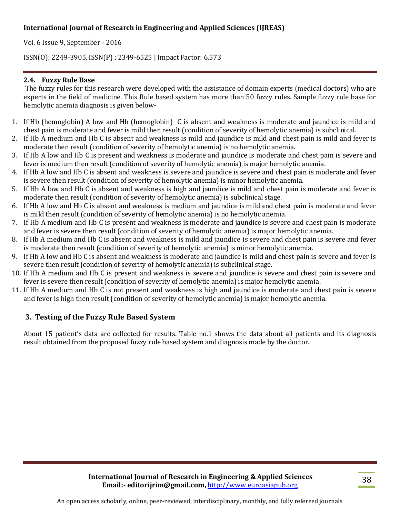Vol. 6 Issue 9, September - 2016

ISSN(O): 2249-3905, ISSN(P) : 2349-6525 | Impact Factor: 6.573

### **2.4. Fuzzy Rule Base**

The fuzzy rules for this research were developed with the assistance of domain experts (medical doctors) who are experts in the field of medicine. This Rule based system has more than 50 fuzzy rules. Sample fuzzy rule base for hemolytic anemia diagnosis is given below-

- 1. If Hb (hemoglobin) A low and Hb (hemoglobin) C is absent and weakness is moderate and jaundice is mild and chest pain is moderate and fever is mild then result (condition of severity of hemolytic anemia) is subclinical.
- 2. If Hb A medium and Hb C is absent and weakness is mild and jaundice is mild and chest pain is mild and fever is moderate then result (condition of severity of hemolytic anemia) is no hemolytic anemia.
- 3. If Hb A low and Hb C is present and weakness is moderate and jaundice is moderate and chest pain is severe and fever is medium then result (condition of severity of hemolytic anemia) is major hemolytic anemia.
- 4. If Hb A low and Hb C is absent and weakness is severe and jaundice is severe and chest pain is moderate and fever is severe then result (condition of severity of hemolytic anemia) is minor hemolytic anemia.
- 5. If Hb A low and Hb C is absent and weakness is high and jaundice is mild and chest pain is moderate and fever is moderate then result (condition of severity of hemolytic anemia) is subclinical stage.
- 6. If Hb A low and Hb C is absent and weakness is medium and jaundice is mild and chest pain is moderate and fever is mild then result (condition of severity of hemolytic anemia) is no hemolytic anemia.
- 7. If Hb A medium and Hb C is present and weakness is moderate and jaundice is severe and chest pain is moderate and fever is severe then result (condition of severity of hemolytic anemia) is major hemolytic anemia.
- 8. If Hb A medium and Hb C is absent and weakness is mild and jaundice is severe and chest pain is severe and fever is moderate then result (condition of severity of hemolytic anemia) is minor hemolytic anemia.
- 9. If Hb A low and Hb C is absent and weakness is moderate and jaundice is mild and chest pain is severe and fever is severe then result (condition of severity of hemolytic anemia) is subclinical stage.
- 10. If Hb A medium and Hb C is present and weakness is severe and jaundice is severe and chest pain is severe and fever is severe then result (condition of severity of hemolytic anemia) is major hemolytic anemia.
- 11. If Hb A medium and Hb C is not present and weakness is high and jaundice is moderate and chest pain is severe and fever is high then result (condition of severity of hemolytic anemia) is major hemolytic anemia.

## **3. Testing of the Fuzzy Rule Based System**

About 15 patient's data are collected for results. Table no.1 shows the data about all patients and its diagnosis result obtained from the proposed fuzzy rule based system and diagnosis made by the doctor.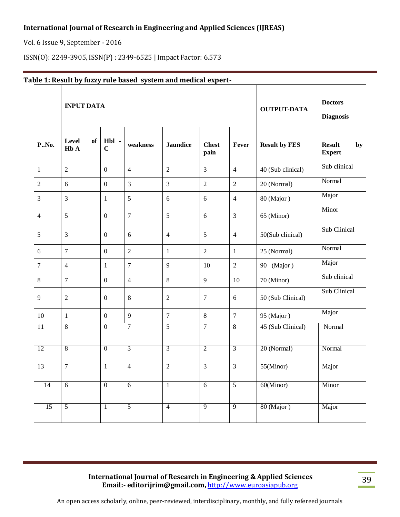Vol. 6 Issue 9, September - 2016

ISSN(O): 2249-3905, ISSN(P) : 2349-6525 | Impact Factor: 6.573

| <b>P.</b> , No. | <b>INPUT DATA</b>               |                      |                |                 |                      |                | <b>OUTPUT-DATA</b>   | <b>Doctors</b><br><b>Diagnosis</b>   |
|-----------------|---------------------------------|----------------------|----------------|-----------------|----------------------|----------------|----------------------|--------------------------------------|
|                 | Level<br>of<br>H <sub>b</sub> A | Hbl -<br>$\mathbf C$ | weakness       | <b>Jaundice</b> | <b>Chest</b><br>pain | Fever          | <b>Result by FES</b> | <b>Result</b><br>by<br><b>Expert</b> |
| $\mathbf{1}$    | $\overline{2}$                  | $\boldsymbol{0}$     | $\overline{4}$ | $\overline{2}$  | $\overline{3}$       | $\overline{4}$ | 40 (Sub clinical)    | Sub clinical                         |
| $\overline{2}$  | 6                               | $\boldsymbol{0}$     | $\overline{3}$ | 3               | $\sqrt{2}$           | $\overline{2}$ | 20 (Normal)          | Normal                               |
| 3               | 3                               | $\mathbf{1}$         | 5              | 6               | 6                    | $\overline{4}$ | 80 (Major)           | Major                                |
| $\overline{4}$  | 5                               | $\boldsymbol{0}$     | $\overline{7}$ | 5               | 6                    | 3              | 65 (Minor)           | Minor                                |
| 5               | 3                               | $\boldsymbol{0}$     | 6              | $\overline{4}$  | 5                    | $\overline{4}$ | 50(Sub clinical)     | Sub Clinical                         |
| 6               | $\overline{7}$                  | $\boldsymbol{0}$     | $\overline{2}$ | $\mathbf{1}$    | $\overline{2}$       | $\mathbf{1}$   | 25 (Normal)          | Normal                               |
| $\tau$          | $\overline{4}$                  | $\mathbf{1}$         | $\overline{7}$ | 9               | 10                   | $\overline{2}$ | 90 (Major)           | Major                                |
| $\,8\,$         | $\overline{7}$                  | $\boldsymbol{0}$     | $\overline{4}$ | $8\,$           | 9                    | $10\,$         | 70 (Minor)           | Sub clinical                         |
| 9               | $\overline{2}$                  | $\boldsymbol{0}$     | $\,8\,$        | $\overline{2}$  | $\tau$               | 6              | 50 (Sub Clinical)    | Sub Clinical                         |
| 10              | $\mathbf{1}$                    | $\boldsymbol{0}$     | 9              | $\overline{7}$  | $\,8\,$              | $\tau$         | 95 (Major)           | Major                                |
| 11              | $\overline{8}$                  | $\mathbf{0}$         | $\overline{7}$ | 5               | $\overline{7}$       | $\overline{8}$ | 45 (Sub Clinical)    | Normal                               |
| $\overline{12}$ | $\overline{8}$                  | $\boldsymbol{0}$     | $\overline{3}$ | 3               | $\overline{2}$       | $\overline{3}$ | 20 (Normal)          | Normal                               |
| $\overline{13}$ | $\overline{7}$                  | $\mathbf{1}$         | $\overline{4}$ | $\overline{2}$  | $\overline{3}$       | $\overline{3}$ | 55(Minor)            | Major                                |
| 14              | 6                               | $\boldsymbol{0}$     | 6              | $\mathbf{1}$    | 6                    | $\overline{5}$ | $60$ (Minor)         | Minor                                |
| $\overline{15}$ | $\overline{5}$                  | $\mathbf{1}$         | $\overline{5}$ | $\overline{4}$  | $\overline{9}$       | $\overline{9}$ | 80 (Major)           | Major                                |

# **Table 1: Result by fuzzy rule based system and medical expert-**

**International Journal of Research in Engineering & Applied Sciences Email:- editorijrim@gmail.com,** http://www.euroasiapub.org

39